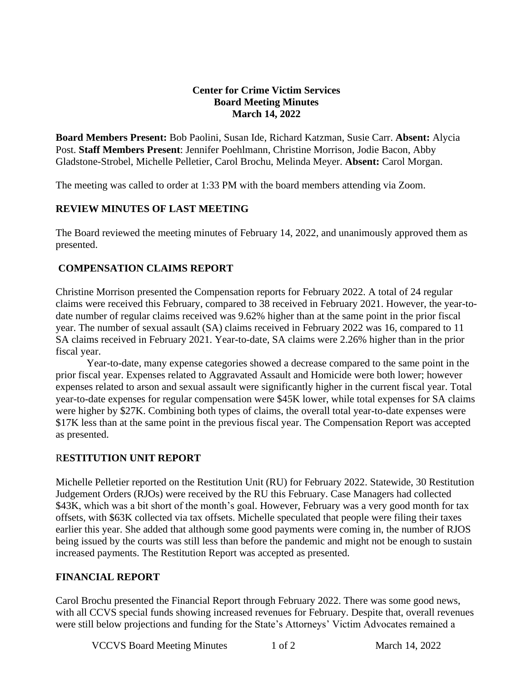#### **Center for Crime Victim Services Board Meeting Minutes March 14, 2022**

**Board Members Present:** Bob Paolini, Susan Ide, Richard Katzman, Susie Carr. **Absent:** Alycia Post. **Staff Members Present**: Jennifer Poehlmann, Christine Morrison, Jodie Bacon, Abby Gladstone-Strobel, Michelle Pelletier, Carol Brochu, Melinda Meyer. **Absent:** Carol Morgan.

The meeting was called to order at 1:33 PM with the board members attending via Zoom.

#### **REVIEW MINUTES OF LAST MEETING**

The Board reviewed the meeting minutes of February 14, 2022, and unanimously approved them as presented.

#### **COMPENSATION CLAIMS REPORT**

Christine Morrison presented the Compensation reports for February 2022. A total of 24 regular claims were received this February, compared to 38 received in February 2021. However, the year-todate number of regular claims received was 9.62% higher than at the same point in the prior fiscal year. The number of sexual assault (SA) claims received in February 2022 was 16, compared to 11 SA claims received in February 2021. Year-to-date, SA claims were 2.26% higher than in the prior fiscal year.

Year-to-date, many expense categories showed a decrease compared to the same point in the prior fiscal year. Expenses related to Aggravated Assault and Homicide were both lower; however expenses related to arson and sexual assault were significantly higher in the current fiscal year. Total year-to-date expenses for regular compensation were \$45K lower, while total expenses for SA claims were higher by \$27K. Combining both types of claims, the overall total year-to-date expenses were \$17K less than at the same point in the previous fiscal year. The Compensation Report was accepted as presented.

## R**ESTITUTION UNIT REPORT**

Michelle Pelletier reported on the Restitution Unit (RU) for February 2022. Statewide, 30 Restitution Judgement Orders (RJOs) were received by the RU this February. Case Managers had collected \$43K, which was a bit short of the month's goal. However, February was a very good month for tax offsets, with \$63K collected via tax offsets. Michelle speculated that people were filing their taxes earlier this year. She added that although some good payments were coming in, the number of RJOS being issued by the courts was still less than before the pandemic and might not be enough to sustain increased payments. The Restitution Report was accepted as presented.

## **FINANCIAL REPORT**

Carol Brochu presented the Financial Report through February 2022. There was some good news, with all CCVS special funds showing increased revenues for February. Despite that, overall revenues were still below projections and funding for the State's Attorneys' Victim Advocates remained a

VCCVS Board Meeting Minutes 1 of 2 March 14, 2022